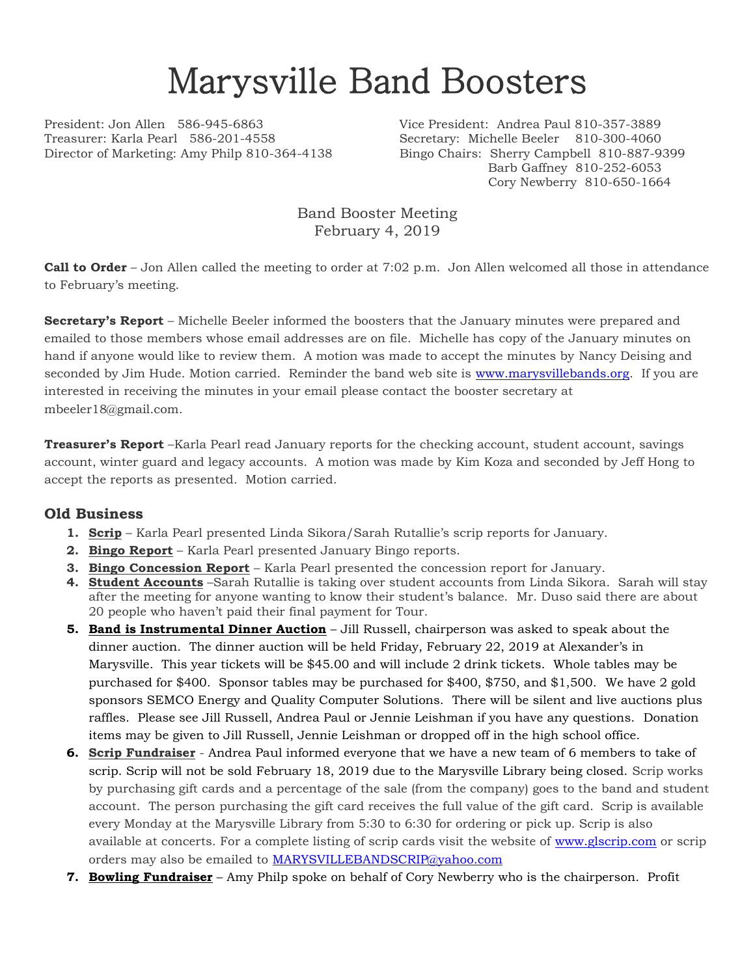## Marysville Band Boosters

President: Jon Allen 586-945-6863 Vice President: Andrea Paul 810-357-3889 Treasurer: Karla Pearl 586-201-4558 Secretary: Michelle Beeler 810-300-4060 Director of Marketing: Amy Philp 810-364-4138 Bingo Chairs: Sherry Campbell 810-887-9399

Barb Gaffney 810-252-6053 Cory Newberry 810-650-1664

Band Booster Meeting February 4, 2019

**Call to Order** – Jon Allen called the meeting to order at 7:02 p.m. Jon Allen welcomed all those in attendance to February's meeting.

**Secretary's Report** – Michelle Beeler informed the boosters that the January minutes were prepared and emailed to those members whose email addresses are on file. Michelle has copy of the January minutes on hand if anyone would like to review them. A motion was made to accept the minutes by Nancy Deising and seconded by Jim Hude. Motion carried. Reminder the band web site is [www.marysvillebands.org.](http://www.marysvillebands.org/) If you are interested in receiving the minutes in your email please contact the booster secretary at mbeeler18@gmail.com.

**Treasurer's Report** –Karla Pearl read January reports for the checking account, student account, savings account, winter guard and legacy accounts. A motion was made by Kim Koza and seconded by Jeff Hong to accept the reports as presented. Motion carried.

## **Old Business**

- **1. Scrip** Karla Pearl presented Linda Sikora/Sarah Rutallie's scrip reports for January.
- **2. Bingo Report** Karla Pearl presented January Bingo reports.
- **3. Bingo Concession Report** Karla Pearl presented the concession report for January.
- **4. Student Accounts** –Sarah Rutallie is taking over student accounts from Linda Sikora. Sarah will stay after the meeting for anyone wanting to know their student's balance. Mr. Duso said there are about 20 people who haven't paid their final payment for Tour.
- **5. Band is Instrumental Dinner Auction** Jill Russell, chairperson was asked to speak about the dinner auction. The dinner auction will be held Friday, February 22, 2019 at Alexander's in Marysville. This year tickets will be \$45.00 and will include 2 drink tickets. Whole tables may be purchased for \$400. Sponsor tables may be purchased for \$400, \$750, and \$1,500. We have 2 gold sponsors SEMCO Energy and Quality Computer Solutions. There will be silent and live auctions plus raffles. Please see Jill Russell, Andrea Paul or Jennie Leishman if you have any questions. Donation items may be given to Jill Russell, Jennie Leishman or dropped off in the high school office.
- **6. Scrip Fundraiser** Andrea Paul informed everyone that we have a new team of 6 members to take of scrip. Scrip will not be sold February 18, 2019 due to the Marysville Library being closed. Scrip works by purchasing gift cards and a percentage of the sale (from the company) goes to the band and student account. The person purchasing the gift card receives the full value of the gift card. Scrip is available every Monday at the Marysville Library from 5:30 to 6:30 for ordering or pick up. Scrip is also available at concerts. For a complete listing of scrip cards visit the website of [www.glscrip.com](http://www.glscrip.com/) or scrip orders may also be emailed to [MARYSVILLEBANDSCRIP@yahoo.com](mailto:MARYSVILLEBANDSCRIP@yahoo.com)
- **7. Bowling Fundraiser** Amy Philp spoke on behalf of Cory Newberry who is the chairperson. Profit